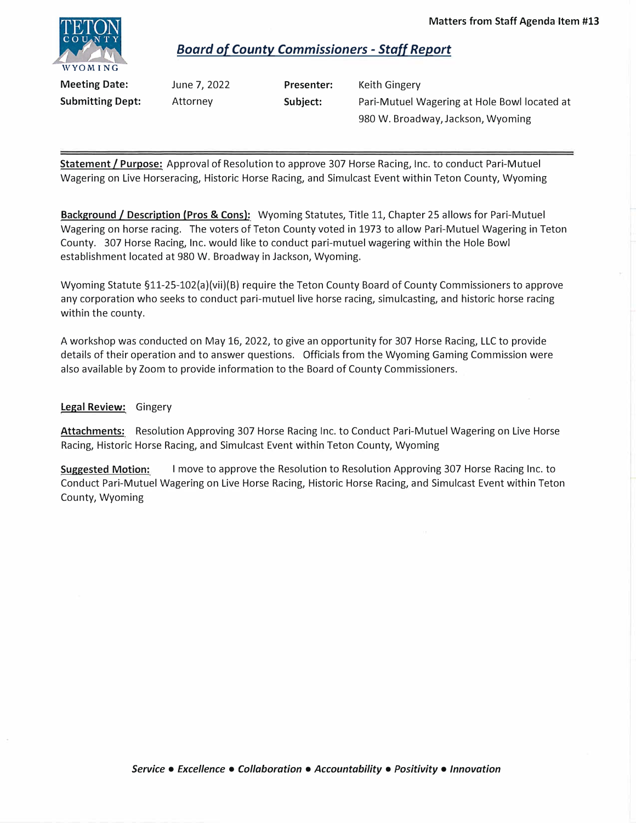

## *Board of County Commissioners* **-** *Stal/ Report*

**Meeting Date: Submitting Dept:** 

June 7, 2022 Attorney

**Presenter: Subject:** 

Keith Gingery Pari-Mutuel Wagering at Hole Bowl located at 980 W. Broadway, Jackson, Wyoming

**Statement** *I* **Purpose:** Approval of Resolution to approve 307 Horse Racing, Inc. to conduct Pari-Mutuel Wagering on Live Horseracing, Historic Horse Racing, and Simulcast Event within Teton County, Wyoming

**Background/ Description (Pros** & **Cons):** Wyoming Statutes, Title 11, Chapter 25 allows for Pari-Mutuel Wagering on horse racing. The voters of Teton County voted in 1973 to allow Pari-Mutuel Wagering in Teton County. 307 Horse Racing, Inc. would like to conduct pari-mutuel wagering within the Hole Bowl establishment located at 980 W. Broadway in Jackson, Wyoming.

Wyoming Statute §11-25-102(a)(vii)(B) require the Teton County Board of County Commissioners to approve any corporation who seeks to conduct pari-mutuel live horse racing, simulcasting, and historic horse racing within the county.

A workshop was conducted on May 16, 2022, to give an opportunity for 307 Horse Racing, LLC to provide details of their operation and to answer questions. Officials from the Wyoming Gaming Commission were also available by Zoom to provide information to the Board of County Commissioners.

## **Legal Review:** Gingery

**Attachments:** Resolution Approving 307 Horse Racing Inc. to Conduct Pari-Mutuel Wagering on Live Horse Racing, Historic Horse Racing, and Simulcast Event within Teton County, Wyoming

**Suggested Motion:** I move to approve the Resolution to Resolution Approving 307 Horse Racing Inc. to Conduct Pari-Mutuel Wagering on Live Horse Racing, Historic Horse Racing, and Simulcast Event within Teton County, Wyoming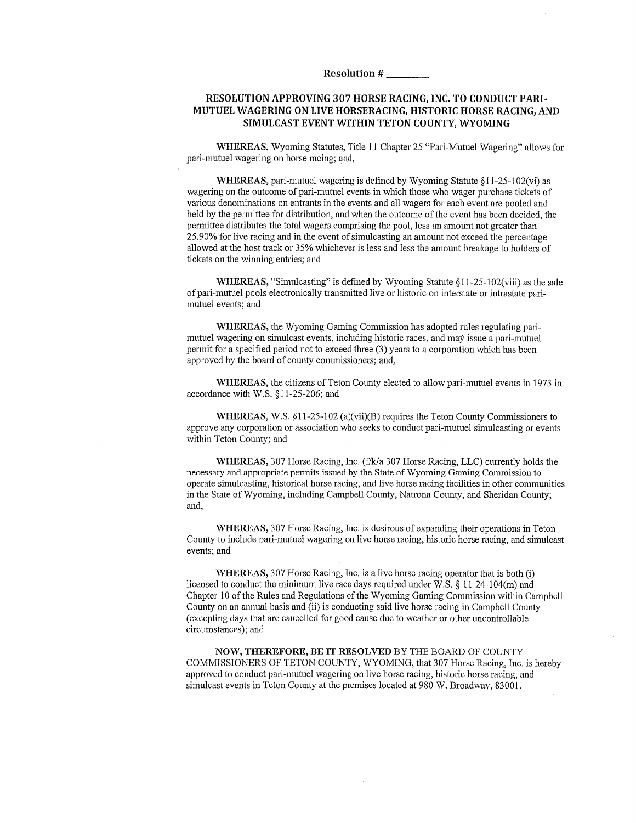Resolution #

## RESOLUTION APPROVING 307 HORSE RACING, INC. TO CONDUCT PARI-MUTUEL WAGERING ON LIVE HORSERACING. HISTORIC HORSE RACING, AND SIMULCAST EVENT WITHIN TETON COUNTY, WYOMING

WHEREAS, Wyoming Statutes, Title 11 Chapter 25 "Pari-Mutuel Wagering" allows for pari-mutuel wagering on horse racing; and,

WHEREAS, pari-mutuel wagering is defined by Wyoming Statute §11-25-102(vi) as wagering on the outcome of pari-mutuel events in which those who wager purchase tickets of various denominations on entrants in the events and all wagers for each event are pooled and held by the permittee for distribution, and when the outcome of the event has been decided, the permittee distributes the total wagers comprising the pool, less an amount not greater than 25.90% for live racing and in the event of simulcasting an amount not exceed the percentage allowed at the host track or 35% whichever is less and less the amount breakage to holders of tickets on the winning entries; and

WHEREAS, "Simulcasting" is defined by Wyoming Statute §11-25-102(viii) as the sale of pari-mutuel pools electronically transmitted live or historic on interstate or intrastate parimutuel events; and

**WHEREAS**, the Wyoming Gaming Commission has adopted rules regulating parimutuel wagering on simulcast events, including historic races, and may issue a pari-mutuel permit for a specified period not to exceed three (3) years to a corporation which has been approved by the board of county commissioners; and,

WHEREAS, the citizens of Teton County elected to allow pari-mutuel events in 1973 in accordance with W.S. §11-25-206; and

**WHEREAS,** W.S.  $\S11-25-102$  (a)(vii)(B) requires the Teton County Commissioners to approve any corporation or association who seeks to conduct pari-mutuel simulcasting or events within Teton County; and

WHEREAS, 307 Horse Racing, Inc. (f/k/a 307 Horse Racing, LLC) currently holds the necessary and appropriate permits issued by the State of Wyoming Gaming Commission to operate simulcasting, historical horse racing, and live horse racing facilities in other communities in the State of Wyoming, including Campbell County, Natrona County, and Sheridan County; and,

**WHEREAS, 307 Horse Racing, Inc. is desirous of expanding their operations in Teton** County to include pari-mutuel wagering on live horse racing, historic horse racing, and simulcast events; and

**WHEREAS, 307 Horse Racing, Inc. is a live horse racing operator that is both (i)** licensed to conduct the minimum live race days required under W.S. § 11-24-104(m) and Chapter 10 of the Rules and Regulations of the Wyoming Gaming Commission within Campbell County on an annual basis and (ii) is conducting said live horse racing in Campbell County (excepting days that are cancelled for good cause due to weather or other uncontrollable circumstances); and

NOW, THEREFORE, BE IT RESOLVED BY THE BOARD OF COUNTY COMMISSIONERS OF TETON COUNTY, WYOMING, that 307 Horse Racing, Inc. is hereby approved to conduct pari-mutuel wagering on live horse racing, historic horse racing, and simulcast events in Teton County at the premises located at 980 W. Broadway, 83001.